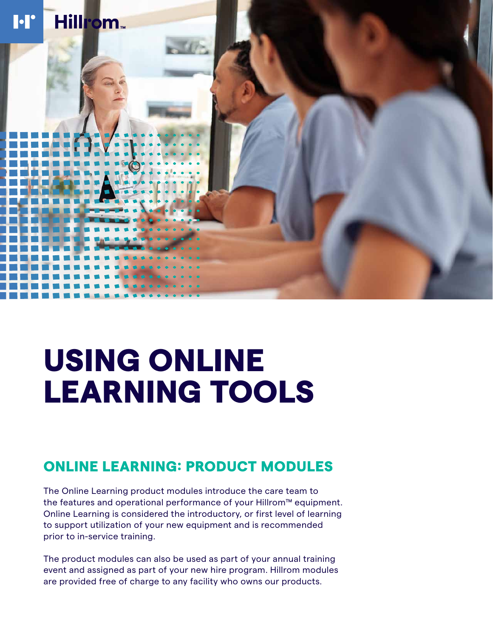

# USING ONLINE LEARNING TOOLS

# ONLINE LEARNING: PRODUCT MODULES

The Online Learning product modules introduce the care team to the features and operational performance of your Hillrom™ equipment. Online Learning is considered the introductory, or first level of learning to support utilization of your new equipment and is recommended prior to in-service training.

The product modules can also be used as part of your annual training event and assigned as part of your new hire program. Hillrom modules are provided free of charge to any facility who owns our products.